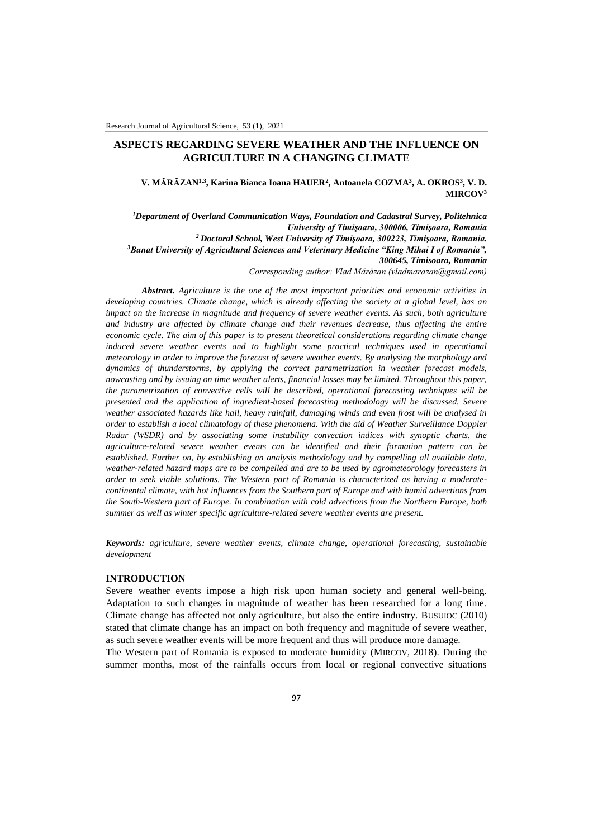# **ASPECTS REGARDING SEVERE WEATHER AND THE INFLUENCE ON AGRICULTURE IN A CHANGING CLIMATE**

**V. MĂRĂZAN1,3, Karina Bianca Ioana HAUER<sup>2</sup> , Antoanela COZMA<sup>3</sup> , A. OKROS<sup>3</sup> , V. D. MIRCOV<sup>3</sup>**

*<sup>1</sup>Department of Overland Communication Ways, Foundation and Cadastral Survey, Politehnica University of Timişoara, 300006, Timişoara, Romania <sup>2</sup> Doctoral School, West University of Timişoara, 300223, Timişoara, Romania. <sup>3</sup>Banat University of Agricultural Sciences and Veterinary Medicine "King Mihai I of Romania", 300645, Timisoara, Romania*

*Corresponding author: Vlad Mărăzan (vladmarazan@gmail.com)*

*Abstract. Agriculture is the one of the most important priorities and economic activities in developing countries. Climate change, which is already affecting the society at a global level, has an impact on the increase in magnitude and frequency of severe weather events. As such, both agriculture and industry are affected by climate change and their revenues decrease, thus affecting the entire economic cycle. The aim of this paper is to present theoretical considerations regarding climate change induced severe weather events and to highlight some practical techniques used in operational meteorology in order to improve the forecast of severe weather events. By analysing the morphology and dynamics of thunderstorms, by applying the correct parametrization in weather forecast models, nowcasting and by issuing on time weather alerts, financial losses may be limited. Throughout this paper, the parametrization of convective cells will be described, operational forecasting techniques will be presented and the application of ingredient-based forecasting methodology will be discussed. Severe weather associated hazards like hail, heavy rainfall, damaging winds and even frost will be analysed in order to establish a local climatology of these phenomena. With the aid of Weather Surveillance Doppler Radar (WSDR) and by associating some instability convection indices with synoptic charts, the agriculture-related severe weather events can be identified and their formation pattern can be established. Further on, by establishing an analysis methodology and by compelling all available data, weather-related hazard maps are to be compelled and are to be used by agrometeorology forecasters in order to seek viable solutions. The Western part of Romania is characterized as having a moderatecontinental climate, with hot influences from the Southern part of Europe and with humid advections from the South-Western part of Europe. In combination with cold advections from the Northern Europe, both summer as well as winter specific agriculture-related severe weather events are present.* 

*Keywords: agriculture, severe weather events, climate change, operational forecasting, sustainable development*

### **INTRODUCTION**

Severe weather events impose a high risk upon human society and general well-being. Adaptation to such changes in magnitude of weather has been researched for a long time. Climate change has affected not only agriculture, but also the entire industry. BUSUIOC (2010) stated that climate change has an impact on both frequency and magnitude of severe weather, as such severe weather events will be more frequent and thus will produce more damage.

The Western part of Romania is exposed to moderate humidity (MIRCOV, 2018). During the summer months, most of the rainfalls occurs from local or regional convective situations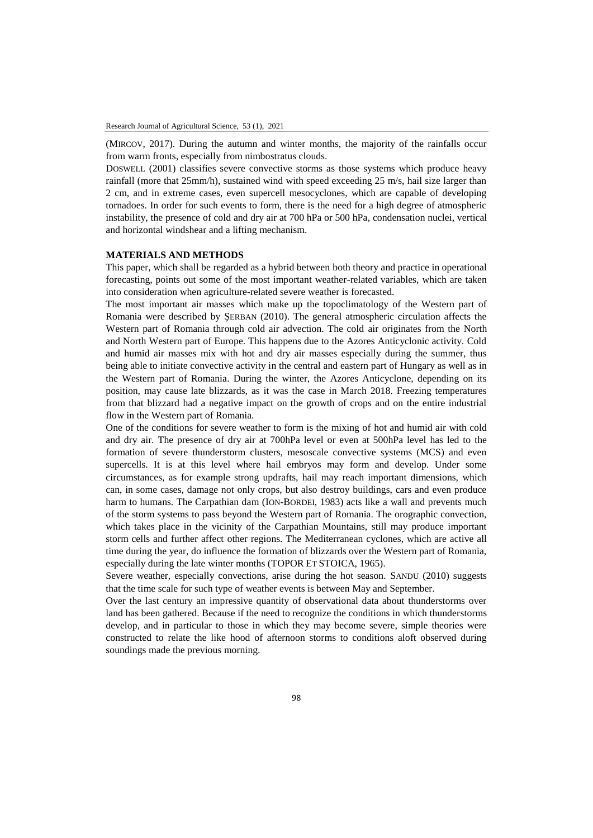(MIRCOV, 2017). During the autumn and winter months, the majority of the rainfalls occur from warm fronts, especially from nimbostratus clouds.

DOSWELL (2001) classifies severe convective storms as those systems which produce heavy rainfall (more that 25mm/h), sustained wind with speed exceeding 25 m/s, hail size larger than 2 cm, and in extreme cases, even supercell mesocyclones, which are capable of developing tornadoes. In order for such events to form, there is the need for a high degree of atmospheric instability, the presence of cold and dry air at 700 hPa or 500 hPa, condensation nuclei, vertical and horizontal windshear and a lifting mechanism.

## **MATERIALS AND METHODS**

This paper, which shall be regarded as a hybrid between both theory and practice in operational forecasting, points out some of the most important weather-related variables, which are taken into consideration when agriculture-related severe weather is forecasted.

The most important air masses which make up the topoclimatology of the Western part of Romania were described by ŞERBAN (2010). The general atmospheric circulation affects the Western part of Romania through cold air advection. The cold air originates from the North and North Western part of Europe. This happens due to the Azores Anticyclonic activity. Cold and humid air masses mix with hot and dry air masses especially during the summer, thus being able to initiate convective activity in the central and eastern part of Hungary as well as in the Western part of Romania. During the winter, the Azores Anticyclone, depending on its position, may cause late blizzards, as it was the case in March 2018. Freezing temperatures from that blizzard had a negative impact on the growth of crops and on the entire industrial flow in the Western part of Romania.

One of the conditions for severe weather to form is the mixing of hot and humid air with cold and dry air. The presence of dry air at 700hPa level or even at 500hPa level has led to the formation of severe thunderstorm clusters, mesoscale convective systems (MCS) and even supercells. It is at this level where hail embryos may form and develop. Under some circumstances, as for example strong updrafts, hail may reach important dimensions, which can, in some cases, damage not only crops, but also destroy buildings, cars and even produce harm to humans. The Carpathian dam (ION-BORDEI, 1983) acts like a wall and prevents much of the storm systems to pass beyond the Western part of Romania. The orographic convection, which takes place in the vicinity of the Carpathian Mountains, still may produce important storm cells and further affect other regions. The Mediterranean cyclones, which are active all time during the year, do influence the formation of blizzards over the Western part of Romania, especially during the late winter months (TOPOR ET STOICA, 1965).

Severe weather, especially convections, arise during the hot season. SANDU (2010) suggests that the time scale for such type of weather events is between May and September.

Over the last century an impressive quantity of observational data about thunderstorms over land has been gathered. Because if the need to recognize the conditions in which thunderstorms develop, and in particular to those in which they may become severe, simple theories were constructed to relate the like hood of afternoon storms to conditions aloft observed during soundings made the previous morning.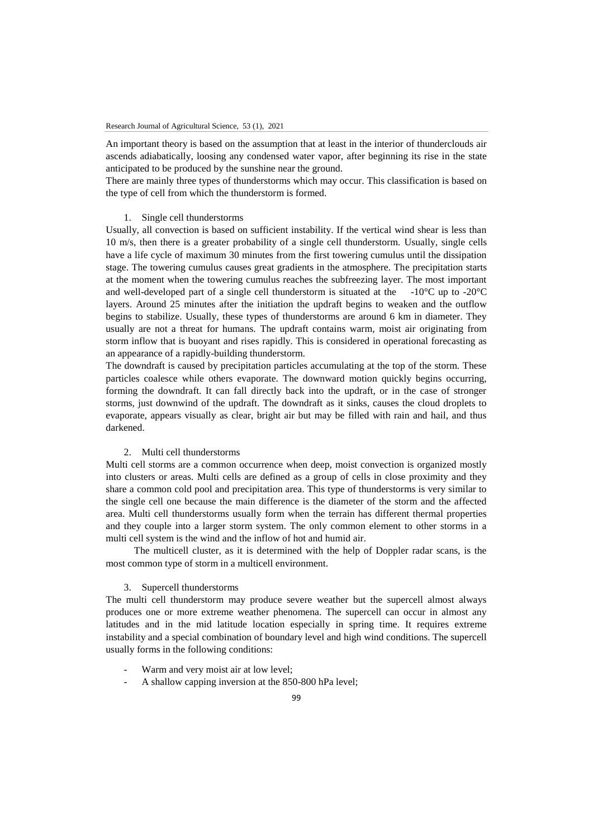An important theory is based on the assumption that at least in the interior of thunderclouds air ascends adiabatically, loosing any condensed water vapor, after beginning its rise in the state anticipated to be produced by the sunshine near the ground.

There are mainly three types of thunderstorms which may occur. This classification is based on the type of cell from which the thunderstorm is formed.

## 1. Single cell thunderstorms

Usually, all convection is based on sufficient instability. If the vertical wind shear is less than 10 m/s, then there is a greater probability of a single cell thunderstorm. Usually, single cells have a life cycle of maximum 30 minutes from the first towering cumulus until the dissipation stage. The towering cumulus causes great gradients in the atmosphere. The precipitation starts at the moment when the towering cumulus reaches the subfreezing layer. The most important and well-developed part of a single cell thunderstorm is situated at the  $-10^{\circ}$ C up to  $-20^{\circ}$ C layers. Around 25 minutes after the initiation the updraft begins to weaken and the outflow begins to stabilize. Usually, these types of thunderstorms are around 6 km in diameter. They usually are not a threat for humans. The updraft contains warm, moist air originating from storm inflow that is buoyant and rises rapidly. This is considered in operational forecasting as an appearance of a rapidly-building thunderstorm.

The downdraft is caused by precipitation particles accumulating at the top of the storm. These particles coalesce while others evaporate. The downward motion quickly begins occurring, forming the downdraft. It can fall directly back into the updraft, or in the case of stronger storms, just downwind of the updraft. The downdraft as it sinks, causes the cloud droplets to evaporate, appears visually as clear, bright air but may be filled with rain and hail, and thus darkened.

### 2. Multi cell thunderstorms

Multi cell storms are a common occurrence when deep, moist convection is organized mostly into clusters or areas. Multi cells are defined as a group of cells in close proximity and they share a common cold pool and precipitation area. This type of thunderstorms is very similar to the single cell one because the main difference is the diameter of the storm and the affected area. Multi cell thunderstorms usually form when the terrain has different thermal properties and they couple into a larger storm system. The only common element to other storms in a multi cell system is the wind and the inflow of hot and humid air.

The multicell cluster, as it is determined with the help of Doppler radar scans, is the most common type of storm in a multicell environment.

## 3. Supercell thunderstorms

The multi cell thunderstorm may produce severe weather but the supercell almost always produces one or more extreme weather phenomena. The supercell can occur in almost any latitudes and in the mid latitude location especially in spring time. It requires extreme instability and a special combination of boundary level and high wind conditions. The supercell usually forms in the following conditions:

- Warm and very moist air at low level;
- A shallow capping inversion at the 850-800 hPa level: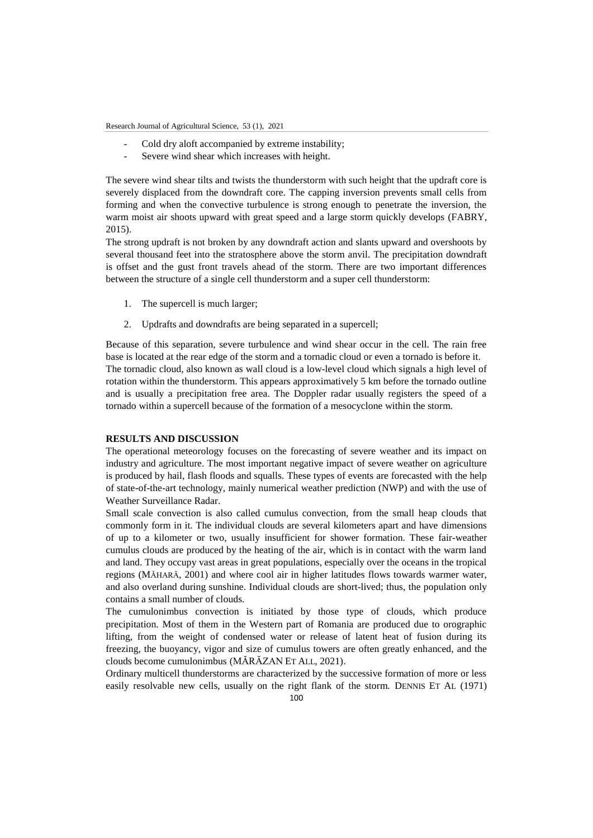Research Journal of Agricultural Science, 53 (1), 2021

- Cold dry aloft accompanied by extreme instability;
- Severe wind shear which increases with height.

The severe wind shear tilts and twists the thunderstorm with such height that the updraft core is severely displaced from the downdraft core. The capping inversion prevents small cells from forming and when the convective turbulence is strong enough to penetrate the inversion, the warm moist air shoots upward with great speed and a large storm quickly develops (FABRY, 2015).

The strong updraft is not broken by any downdraft action and slants upward and overshoots by several thousand feet into the stratosphere above the storm anvil. The precipitation downdraft is offset and the gust front travels ahead of the storm. There are two important differences between the structure of a single cell thunderstorm and a super cell thunderstorm:

- 1. The supercell is much larger;
- 2. Updrafts and downdrafts are being separated in a supercell;

Because of this separation, severe turbulence and wind shear occur in the cell. The rain free base is located at the rear edge of the storm and a tornadic cloud or even a tornado is before it. The tornadic cloud, also known as wall cloud is a low-level cloud which signals a high level of rotation within the thunderstorm. This appears approximatively 5 km before the tornado outline and is usually a precipitation free area. The Doppler radar usually registers the speed of a tornado within a supercell because of the formation of a mesocyclone within the storm.

## **RESULTS AND DISCUSSION**

The operational meteorology focuses on the forecasting of severe weather and its impact on industry and agriculture. The most important negative impact of severe weather on agriculture is produced by hail, flash floods and squalls. These types of events are forecasted with the help of state-of-the-art technology, mainly numerical weather prediction (NWP) and with the use of Weather Surveillance Radar.

Small scale convection is also called cumulus convection, from the small heap clouds that commonly form in it. The individual clouds are several kilometers apart and have dimensions of up to a kilometer or two, usually insufficient for shower formation. These fair-weather cumulus clouds are produced by the heating of the air, which is in contact with the warm land and land. They occupy vast areas in great populations, especially over the oceans in the tropical regions (MĂHARĂ, 2001) and where cool air in higher latitudes flows towards warmer water, and also overland during sunshine. Individual clouds are short-lived; thus, the population only contains a small number of clouds.

The cumulonimbus convection is initiated by those type of clouds, which produce precipitation. Most of them in the Western part of Romania are produced due to orographic lifting, from the weight of condensed water or release of latent heat of fusion during its freezing, the buoyancy, vigor and size of cumulus towers are often greatly enhanced, and the clouds become cumulonimbus (MĂRĂZAN ET ALL, 2021).

Ordinary multicell thunderstorms are characterized by the successive formation of more or less easily resolvable new cells, usually on the right flank of the storm. DENNIS ET AL (1971)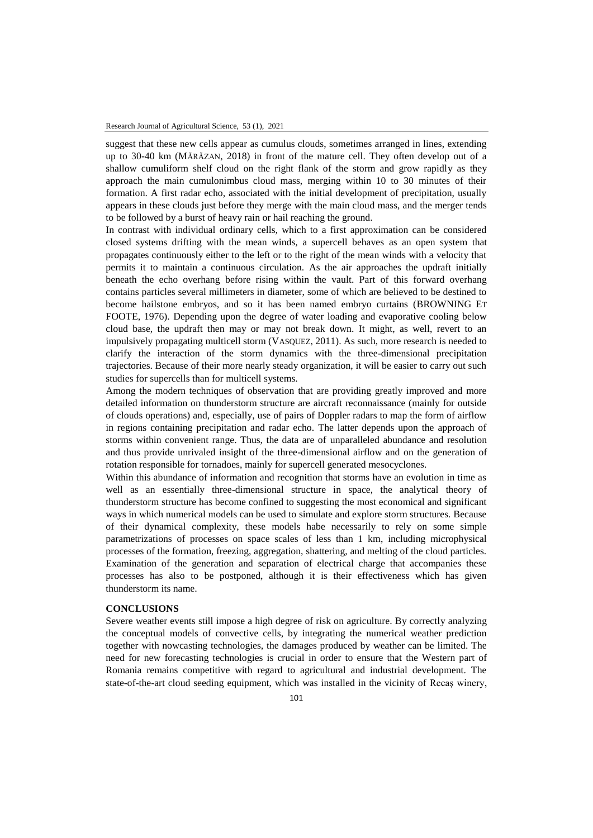suggest that these new cells appear as cumulus clouds, sometimes arranged in lines, extending up to 30-40 km (MĂRĂZAN, 2018) in front of the mature cell. They often develop out of a shallow cumuliform shelf cloud on the right flank of the storm and grow rapidly as they approach the main cumulonimbus cloud mass, merging within 10 to 30 minutes of their formation. A first radar echo, associated with the initial development of precipitation, usually appears in these clouds just before they merge with the main cloud mass, and the merger tends to be followed by a burst of heavy rain or hail reaching the ground.

In contrast with individual ordinary cells, which to a first approximation can be considered closed systems drifting with the mean winds, a supercell behaves as an open system that propagates continuously either to the left or to the right of the mean winds with a velocity that permits it to maintain a continuous circulation. As the air approaches the updraft initially beneath the echo overhang before rising within the vault. Part of this forward overhang contains particles several millimeters in diameter, some of which are believed to be destined to become hailstone embryos, and so it has been named embryo curtains (BROWNING ET FOOTE, 1976). Depending upon the degree of water loading and evaporative cooling below cloud base, the updraft then may or may not break down. It might, as well, revert to an impulsively propagating multicell storm (VASQUEZ, 2011). As such, more research is needed to clarify the interaction of the storm dynamics with the three-dimensional precipitation trajectories. Because of their more nearly steady organization, it will be easier to carry out such studies for supercells than for multicell systems.

Among the modern techniques of observation that are providing greatly improved and more detailed information on thunderstorm structure are aircraft reconnaissance (mainly for outside of clouds operations) and, especially, use of pairs of Doppler radars to map the form of airflow in regions containing precipitation and radar echo. The latter depends upon the approach of storms within convenient range. Thus, the data are of unparalleled abundance and resolution and thus provide unrivaled insight of the three-dimensional airflow and on the generation of rotation responsible for tornadoes, mainly for supercell generated mesocyclones.

Within this abundance of information and recognition that storms have an evolution in time as well as an essentially three-dimensional structure in space, the analytical theory of thunderstorm structure has become confined to suggesting the most economical and significant ways in which numerical models can be used to simulate and explore storm structures. Because of their dynamical complexity, these models habe necessarily to rely on some simple parametrizations of processes on space scales of less than 1 km, including microphysical processes of the formation, freezing, aggregation, shattering, and melting of the cloud particles. Examination of the generation and separation of electrical charge that accompanies these processes has also to be postponed, although it is their effectiveness which has given thunderstorm its name.

### **CONCLUSIONS**

Severe weather events still impose a high degree of risk on agriculture. By correctly analyzing the conceptual models of convective cells, by integrating the numerical weather prediction together with nowcasting technologies, the damages produced by weather can be limited. The need for new forecasting technologies is crucial in order to ensure that the Western part of Romania remains competitive with regard to agricultural and industrial development. The state-of-the-art cloud seeding equipment, which was installed in the vicinity of Recaş winery,